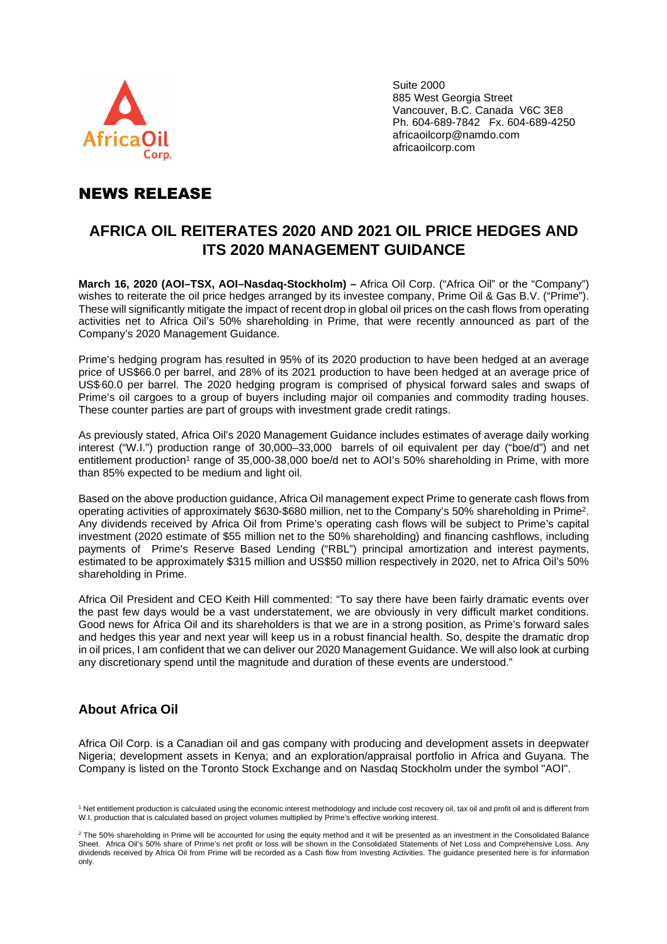

Suite 2000 885 West Georgia Street Vancouver, B.C. Canada V6C 3E8 Ph. 604-689-7842 Fx. 604-689-4250 africaoilcorp@namdo.com africaoilcorp.com

# NEWS RELEASE

# **AFRICA OIL REITERATES 2020 AND 2021 OIL PRICE HEDGES AND ITS 2020 MANAGEMENT GUIDANCE**

**March 16, 2020 (AOI–TSX, AOI–Nasdaq-Stockholm) –** Africa Oil Corp. ("Africa Oil" or the "Company") wishes to reiterate the oil price hedges arranged by its investee company, Prime Oil & Gas B.V. ("Prime"). These will significantly mitigate the impact of recent drop in global oil prices on the cash flows from operating activities net to Africa Oil's 50% shareholding in Prime, that were recently announced as part of the Company's 2020 Management Guidance.

Prime's hedging program has resulted in 95% of its 2020 production to have been hedged at an average price of US\$66.0 per barrel, and 28% of its 2021 production to have been hedged at an average price of US\$.60.0 per barrel. The 2020 hedging program is comprised of physical forward sales and swaps of Prime's oil cargoes to a group of buyers including major oil companies and commodity trading houses. These counter parties are part of groups with investment grade credit ratings.

As previously stated, Africa Oil's 2020 Management Guidance includes estimates of average daily working interest ("W.I.") production range of 30,000–33,000 barrels of oil equivalent per day ("boe/d") and net entitlement production<sup>1</sup> range of 35,000-38,000 boe/d net to AOI's 50% shareholding in Prime, with more than 85% expected to be medium and light oil.

Based on the above production guidance, Africa Oil management expect Prime to generate cash flows from operating activities of approximately \$630-\$680 million, net to the Company's 50% shareholding in Prime 2 . Any dividends received by Africa Oil from Prime's operating cash flows will be subject to Prime's capital investment (2020 estimate of \$55 million net to the 50% shareholding) and financing cashflows, including payments of Prime's Reserve Based Lending ("RBL") principal amortization and interest payments, estimated to be approximately \$315 million and US\$50 million respectively in 2020, net to Africa Oil's 50% shareholding in Prime.

Africa Oil President and CEO Keith Hill commented: "To say there have been fairly dramatic events over the past few days would be a vast understatement, we are obviously in very difficult market conditions. Good news for Africa Oil and its shareholders is that we are in a strong position, as Prime's forward sales and hedges this year and next year will keep us in a robust financial health. So, despite the dramatic drop in oil prices, I am confident that we can deliver our 2020 Management Guidance. We will also look at curbing any discretionary spend until the magnitude and duration of these events are understood."

## **About Africa Oil**

Africa Oil Corp. is a Canadian oil and gas company with producing and development assets in deepwater Nigeria; development assets in Kenya; and an exploration/appraisal portfolio in Africa and Guyana. The Company is listed on the Toronto Stock Exchange and on Nasdaq Stockholm under the symbol "AOI".

<sup>&</sup>lt;sup>1</sup> Net entitlement production is calculated using the economic interest methodology and include cost recovery oil, tax oil and profit oil and is different from W.I. production that is calculated based on project volumes multiplied by Prime's effective working interest.

 $2$  The 50% shareholding in Prime will be accounted for using the equity method and it will be presented as an investment in the Consolidated Balance Sheet. Africa Oil's 50% share of Prime's net profit or loss will be shown in the Consolidated Statements of Net Loss and Comprehensive Loss. Any dividends received by Africa Oil from Prime will be recorded as a Cash flow from Investing Activities. The guidance presented here is for information only.